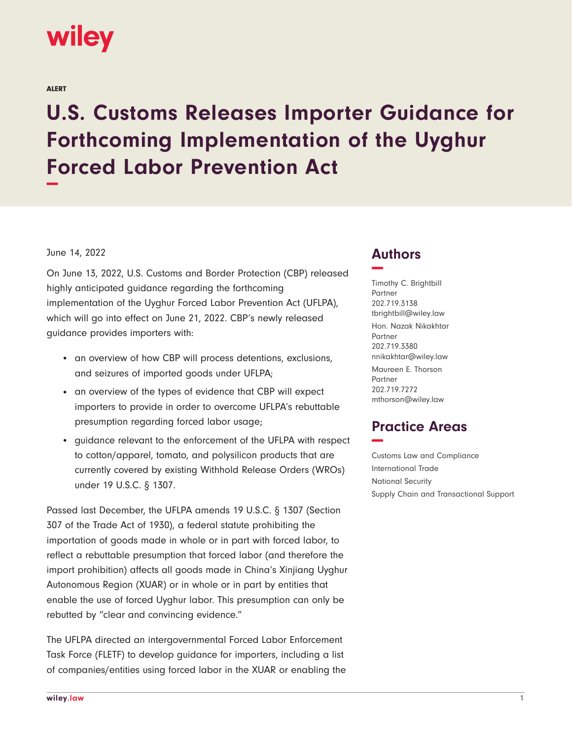

ALERT

## **U.S. Customs Releases Importer Guidance for Forthcoming Implementation of the Uyghur Forced Labor Prevention Act −**

## June 14, 2022

On June 13, 2022, U.S. Customs and Border Protection (CBP) released highly anticipated guidance regarding the forthcoming implementation of the Uyghur Forced Labor Prevention Act (UFLPA), which will go into effect on June 21, 2022. CBP's newly released guidance provides importers with:

- an overview of how CBP will process detentions, exclusions, and seizures of imported goods under UFLPA;
- an overview of the types of evidence that CBP will expect importers to provide in order to overcome UFLPA's rebuttable presumption regarding forced labor usage;
- guidance relevant to the enforcement of the UFLPA with respect to cotton/apparel, tomato, and polysilicon products that are currently covered by existing Withhold Release Orders (WROs) under 19 U.S.C. § 1307.

Passed last December, the UFLPA amends 19 U.S.C. § 1307 (Section 307 of the Trade Act of 1930), a federal statute prohibiting the importation of goods made in whole or in part with forced labor, to reflect a rebuttable presumption that forced labor (and therefore the import prohibition) affects all goods made in China's Xinjiang Uyghur Autonomous Region (XUAR) or in whole or in part by entities that enable the use of forced Uyghur labor. This presumption can only be rebutted by "clear and convincing evidence."

The UFLPA directed an intergovernmental Forced Labor Enforcement Task Force (FLETF) to develop guidance for importers, including a list of companies/entities using forced labor in the XUAR or enabling the

## **Authors −**

Timothy C. Brightbill Partner 202.719.3138 tbrightbill@wiley.law Hon. Nazak Nikakhtar Partner 202.719.3380 nnikakhtar@wiley.law

Maureen E. Thorson Partner 202.719.7272 mthorson@wiley.law

## **Practice Areas −**

Customs Law and Compliance International Trade National Security Supply Chain and Transactional Support